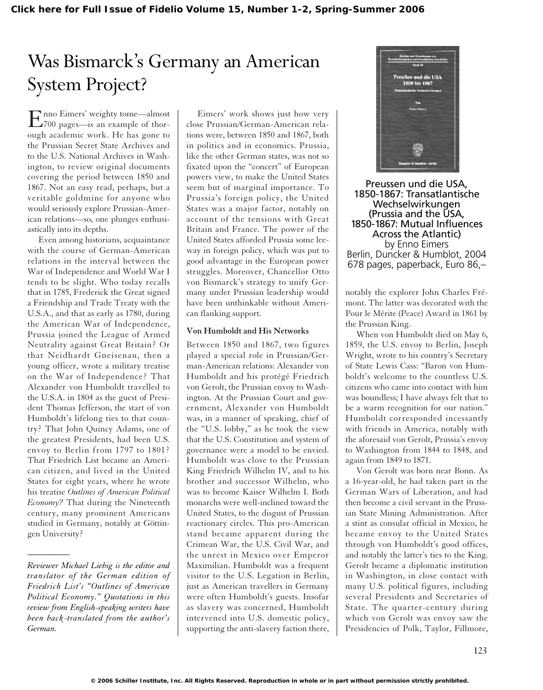## Was Bismarck's Germany an American System Project?

Enno Eimers' weighty tome—almost 700 pages—is an example of thorough academic work. He has gone to the Prussian Secret State Archives and to the U.S. National Archives in Washington, to review original documents covering the period between 1850 and 1867. Not an easy read, perhaps, but a veritable goldmine for anyone who would seriously explore Prussian-American relations—so, one plunges enthusiastically into its depths.

Even among historians, acquaintance with the course of German-American relations in the interval between the War of Independence and World War I tends to be slight. Who today recalls that in 1785, Frederick the Great signed a Friendship and Trade Treaty with the U.S.A., and that as early as 1780, during the American War of Independence, Prussia joined the League of Armed Neutrality against Great Britain? Or that Neidhardt Gneisenau, then a young officer, wrote a military treatise on the War of Independence? That Alexander von Humboldt travelled to the U.S.A. in 1804 as the guest of President Thomas Jefferson, the start of von Humboldt's lifelong ties to that country? That John Quincy Adams, one of the greatest Presidents, had been U.S. envoy to Berlin from 1797 to 1801? That Friedrich List became an American citizen, and lived in the United States for eight years, where he wrote his treatise *Outlines of American Political Economy?* That during the Nineteenth century, many prominent Americans studied in Germany, notably at Göttingen University?

*\_\_\_\_\_\_\_\_\_\_*

Eimers' work shows just how very close Prussian/German-American relations were, between 1850 and 1867, both in politics and in economics. Prussia, like the other German states, was not so fixated upon the "concert" of European powers view, to make the United States seem but of marginal importance. To Prussia's foreign policy, the United States was a major factor, notably on account of the tensions with Great Britain and France. The power of the United States afforded Prussia some leeway in foreign policy, which was put to good advantage in the European power struggles. Moreover, Chancellor Otto von Bismarck's strategy to unify Germany under Prussian leadership would have been unthinkable without American flanking support.

### **Von Humboldt and His Networks**

Between 1850 and 1867, two figures played a special role in Prussian/German-American relations: Alexander von Humboldt and his protégé Friedrich von Gerolt, the Prussian envoy to Washington. At the Prussian Court and government, Alexander von Humboldt was, in a manner of speaking, chief of the "U.S. lobby," as he took the view that the U.S. Constitution and system of governance were a model to be envied. Humboldt was close to the Prussian King Friedrich Wilhelm IV, and to his brother and successor Wilhelm, who was to become Kaiser Wilhelm I. Both monarchs were well-inclined toward the United States, to the disgust of Prussian reactionary circles. This pro-American stand became apparent during the Crimean War, the U.S. Civil War, and the unrest in Mexico over Emperor Maximilian. Humboldt was a frequent visitor to the U.S. Legation in Berlin, just as American travellers in Germany were often Humboldt's guests. Insofar as slavery was concerned, Humboldt intervened into U.S. domestic policy, supporting the anti-slavery faction there,



Preussen und die USA, 1850-1867: Transatlantische Wechselwirkungen (Prussia and the USA, 1850-1867: Mutual Influences Across the Atlantic) by Enno Eimers Berlin, Duncker & Humblot, 2004 678 pages, paperback, Euro 86,–

notably the explorer John Charles Frémont. The latter was decorated with the Pour le Mérite (Peace) Award in 1861 by the Prussian King.

When von Humboldt died on May 6, 1859, the U.S. envoy to Berlin, Joseph Wright, wrote to his country's Secretary of State Lewis Cass: "Baron von Humboldt's welcome to the countless U.S. citizens who came into contact with him was boundless; I have always felt that to be a warm recognition for our nation." Humboldt corresponded incessantly with friends in America, notably with the aforesaid von Gerolt, Prussia's envoy to Washington from 1844 to 1848, and again from 1849 to 1871.

Von Gerolt was born near Bonn. As a 16-year-old, he had taken part in the German Wars of Liberation, and had then become a civil servant in the Prussian State Mining Administration. After a stint as consular official in Mexico, he became envoy to the United States through von Humboldt's good offices, and notably the latter's ties to the King. Gerolt became a diplomatic institution in Washington, in close contact with many U.S. political figures, including several Presidents and Secretaries of State. The quarter-century during which von Gerolt was envoy saw the Presidencies of Polk, Taylor, Fillmore,

*Reviewer Michael Liebig is the editor and translator of the German edition of Friedrich List's "Outlines of American Political Economy." Quotations in this review from English-speaking writers have been back-translated from the author's German.*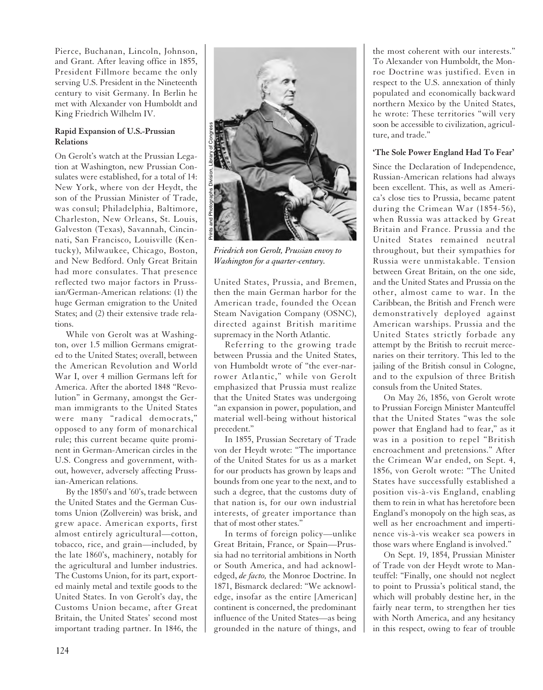Pierce, Buchanan, Lincoln, Johnson, and Grant. After leaving office in 1855, President Fillmore became the only serving U.S. President in the Nineteenth century to visit Germany. In Berlin he met with Alexander von Humboldt and King Friedrich Wilhelm IV.

### **Rapid Expansion of U.S.-Prussian Relations**

On Gerolt's watch at the Prussian Legation at Washington, new Prussian Consulates were established, for a total of 14: New York, where von der Heydt, the son of the Prussian Minister of Trade, was consul; Philadelphia, Baltimore, Charleston, New Orleans, St. Louis, Galveston (Texas), Savannah, Cincinnati, San Francisco, Louisville (Kentucky), Milwaukee, Chicago, Boston, and New Bedford. Only Great Britain had more consulates. That presence reflected two major factors in Prussian/German-American relations: (1) the huge German emigration to the United States; and (2) their extensive trade relations.

While von Gerolt was at Washington, over 1.5 million Germans emigrated to the United States; overall, between the American Revolution and World War I, over 4 million Germans left for America. After the aborted 1848 "Revolution" in Germany, amongst the German immigrants to the United States were many "radical democrats," opposed to any form of monarchical rule; this current became quite prominent in German-American circles in the U.S. Congress and government, without, however, adversely affecting Prussian-American relations.

By the 1850's and '60's, trade between the United States and the German Customs Union (Zollverein) was brisk, and grew apace. American exports, first almost entirely agricultural—cotton, tobacco, rice, and grain—included, by the late 1860's, machinery, notably for the agricultural and lumber industries. The Customs Union, for its part, exported mainly metal and textile goods to the United States. In von Gerolt's day, the Customs Union became, after Great Britain, the United States' second most important trading partner. In 1846, the



*Friedrich von Gerolt, Prussian envoy to Washington for a quarter-century.*

United States, Prussia, and Bremen, then the main German harbor for the American trade, founded the Ocean Steam Navigation Company (OSNC), directed against British maritime supremacy in the North Atlantic.

Referring to the growing trade between Prussia and the United States, von Humboldt wrote of "the ever-narrower Atlantic," while von Gerolt emphasized that Prussia must realize that the United States was undergoing "an expansion in power, population, and material well-being without historical precedent."

In 1855, Prussian Secretary of Trade von der Heydt wrote: "The importance of the United States for us as a market for our products has grown by leaps and bounds from one year to the next, and to such a degree, that the customs duty of that nation is, for our own industrial interests, of greater importance than that of most other states."

In terms of foreign policy—unlike Great Britain, France, or Spain—Prussia had no territorial ambitions in North or South America, and had acknowledged, *de facto,* the Monroe Doctrine. In 1871, Bismarck declared: "We acknowledge, insofar as the entire [American] continent is concerned, the predominant influence of the United States—as being grounded in the nature of things, and

the most coherent with our interests." To Alexander von Humboldt, the Monroe Doctrine was justified. Even in respect to the U.S. annexation of thinly populated and economically backward northern Mexico by the United States, he wrote: These territories "will very soon be accessible to civilization, agriculture, and trade."

### **'The Sole Power England Had To Fear'**

Since the Declaration of Independence, Russian-American relations had always been excellent. This, as well as America's close ties to Prussia, became patent during the Crimean War (1854-56), when Russia was attacked by Great Britain and France. Prussia and the United States remained neutral throughout, but their sympathies for Russia were unmistakable. Tension between Great Britain, on the one side, and the United States and Prussia on the other, almost came to war. In the Caribbean, the British and French were demonstratively deployed against American warships. Prussia and the United States strictly forbade any attempt by the British to recruit mercenaries on their territory. This led to the jailing of the British consul in Cologne, and to the expulsion of three British consuls from the United States.

On May 26, 1856, von Gerolt wrote to Prussian Foreign Minister Manteuffel that the United States "was the sole power that England had to fear," as it was in a position to repel "British encroachment and pretensions." After the Crimean War ended, on Sept. 4, 1856, von Gerolt wrote: "The United States have successfully established a position vis-à-vis England, enabling them to rein in what has heretofore been England's monopoly on the high seas, as well as her encroachment and impertinence vis-à-vis weaker sea powers in those wars where England is involved."

On Sept. 19, 1854, Prussian Minister of Trade von der Heydt wrote to Manteuffel: "Finally, one should not neglect to point to Prussia's political stand, the which will probably destine her, in the fairly near term, to strengthen her ties with North America, and any hesitancy in this respect, owing to fear of trouble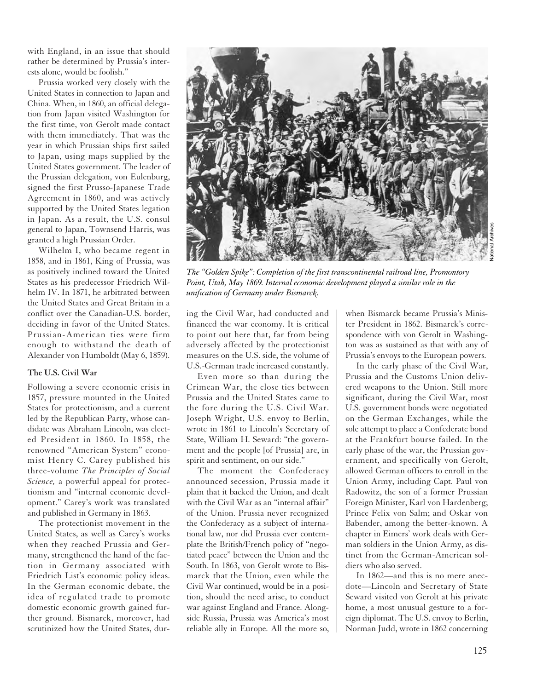with England, in an issue that should rather be determined by Prussia's interests alone, would be foolish."

Prussia worked very closely with the United States in connection to Japan and China. When, in 1860, an official delegation from Japan visited Washington for the first time, von Gerolt made contact with them immediately. That was the year in which Prussian ships first sailed to Japan, using maps supplied by the United States government. The leader of the Prussian delegation, von Eulenburg, signed the first Prusso-Japanese Trade Agreement in 1860, and was actively supported by the United States legation in Japan. As a result, the U.S. consul general to Japan, Townsend Harris, was granted a high Prussian Order.

Wilhelm I, who became regent in 1858, and in 1861, King of Prussia, was as positively inclined toward the United States as his predecessor Friedrich Wilhelm IV. In 1871, he arbitrated between the United States and Great Britain in a conflict over the Canadian-U.S. border, deciding in favor of the United States. Prussian-American ties were firm enough to withstand the death of Alexander von Humboldt (May 6, 1859).

#### **The U.S. Civil War**

Following a severe economic crisis in 1857, pressure mounted in the United States for protectionism, and a current led by the Republican Party, whose candidate was Abraham Lincoln, was elected President in 1860. In 1858, the renowned "American System" economist Henry C. Carey published his three-volume *The Principles of Social Science,* a powerful appeal for protectionism and "internal economic development." Carey's work was translated and published in Germany in 1863.

The protectionist movement in the United States, as well as Carey's works when they reached Prussia and Germany, strengthened the hand of the faction in Germany associated with Friedrich List's economic policy ideas. In the German economic debate, the idea of regulated trade to promote domestic economic growth gained further ground. Bismarck, moreover, had scrutinized how the United States, dur-



*The "Golden Spike": Completion of the first transcontinental railroad line, Promontory Point, Utah, May 1869. Internal economic development played a similar role in the unification of Germany under Bismarck.*

ing the Civil War, had conducted and financed the war economy. It is critical to point out here that, far from being adversely affected by the protectionist measures on the U.S. side, the volume of U.S.-German trade increased constantly.

Even more so than during the Crimean War, the close ties between Prussia and the United States came to the fore during the U.S. Civil War. Joseph Wright, U.S. envoy to Berlin, wrote in 1861 to Lincoln's Secretary of State, William H. Seward: "the government and the people [of Prussia] are, in spirit and sentiment, on our side."

The moment the Confederacy announced secession, Prussia made it plain that it backed the Union, and dealt with the Civil War as an "internal affair" of the Union. Prussia never recognized the Confederacy as a subject of international law, nor did Prussia ever contemplate the British/French policy of "negotiated peace" between the Union and the South. In 1863, von Gerolt wrote to Bismarck that the Union, even while the Civil War continued, would be in a position, should the need arise, to conduct war against England and France. Alongside Russia, Prussia was America's most reliable ally in Europe. All the more so, when Bismarck became Prussia's Minister President in 1862. Bismarck's correspondence with von Gerolt in Washington was as sustained as that with any of Prussia's envoys to the European powers.

In the early phase of the Civil War, Prussia and the Customs Union delivered weapons to the Union. Still more significant, during the Civil War, most U.S. government bonds were negotiated on the German Exchanges, while the sole attempt to place a Confederate bond at the Frankfurt bourse failed. In the early phase of the war, the Prussian government, and specifically von Gerolt, allowed German officers to enroll in the Union Army, including Capt. Paul von Radowitz, the son of a former Prussian Foreign Minister, Karl von Hardenberg; Prince Felix von Salm; and Oskar von Babender, among the better-known. A chapter in Eimers' work deals with German soldiers in the Union Army, as distinct from the German-American soldiers who also served.

In 1862—and this is no mere anecdote—Lincoln and Secretary of State Seward visited von Gerolt at his private home, a most unusual gesture to a foreign diplomat. The U.S. envoy to Berlin, Norman Judd, wrote in 1862 concerning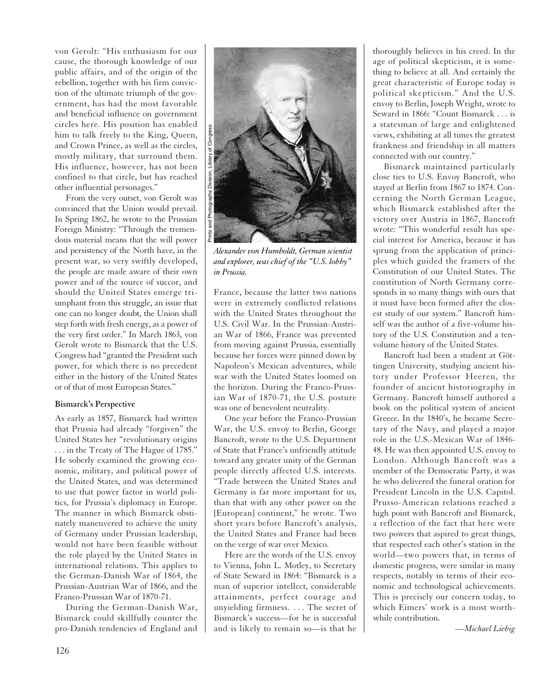von Gerolt: "His enthusiasm for our cause, the thorough knowledge of our public affairs, and of the origin of the rebellion, together with his firm conviction of the ultimate triumph of the government, has had the most favorable and beneficial influence on government circles here. His position has enabled him to talk freely to the King, Queen, and Crown Prince, as well as the circles, mostly military, that surround them. His influence, however, has not been confined to that circle, but has reached other influential personages."

From the very outset, von Gerolt was convinced that the Union would prevail. In Spring 1862, he wrote to the Prussian Foreign Ministry: "Through the tremendous material means that the will power and persistency of the North have, in the present war, so very swiftly developed, the people are made aware of their own power and of the source of succor, and should the United States emerge triumphant from this struggle, an issue that one can no longer doubt, the Union shall step forth with fresh energy, as a power of the very first order." In March 1863, von Gerolt wrote to Bismarck that the U.S. Congress had "granted the President such power, for which there is no precedent either in the history of the United States or of that of most European States."

### **Bismarck's Perspective**

As early as 1857, Bismarck had written that Prussia had already "forgiven" the United States her "revolutionary origins . . . in the Treaty of The Hague of 1785." He soberly examined the growing economic, military, and political power of the United States, and was determined to use that power factor in world politics, for Prussia's diplomacy in Europe. The manner in which Bismarck obstinately maneuvered to achieve the unity of Germany under Prussian leadership, would not have been feasible without the role played by the United States in international relations. This applies to the German-Danish War of 1864, the Prussian-Austrian War of 1866, and the Franco-Prussian War of 1870-71.

During the German-Danish War, Bismarck could skillfully counter the pro-Danish tendencies of England and



*Alexander von Humboldt, German scientist and explorer, was chief of the "U.S. lobby" in Prussia.*

France, because the latter two nations were in extremely conflicted relations with the United States throughout the U.S. Civil War. In the Prussian-Austrian War of 1866, France was prevented from moving against Prussia, essentially because her forces were pinned down by Napoleon's Mexican adventures, while war with the United States loomed on the horizon. During the Franco-Prussian War of 1870-71, the U.S. posture was one of benevolent neutrality.

One year before the Franco-Prussian War, the U.S. envoy to Berlin, George Bancroft, wrote to the U.S. Department of State that France's unfriendly attitude toward any greater unity of the German people directly affected U.S. interests. "Trade between the United States and Germany is far more important for us, than that with any other power on the [European] continent," he wrote. Two short years before Bancroft's analysis, the United States and France had been on the verge of war over Mexico.

Here are the words of the U.S. envoy to Vienna, John L. Motley, to Secretary of State Seward in 1864: "Bismarck is a man of superior intellect, considerable attainments, perfect courage and unyielding firmness. . . . The secret of Bismarck's success—for he is successful and is likely to remain so—is that he thoroughly believes in his creed. In the age of political skepticism, it is something to believe at all. And certainly the great characteristic of Europe today is political skepticism." And the U.S. envoy to Berlin, Joseph Wright, wrote to Seward in 1866: "Count Bismarck . . . is a statesman of large and enlightened views, exhibiting at all times the greatest frankness and friendship in all matters connected with our country."

Bismarck maintained particularly close ties to U.S. Envoy Bancroft, who stayed at Berlin from 1867 to 1874. Concerning the North German League, which Bismarck established after the victory over Austria in 1867, Bancroft wrote: "This wonderful result has special interest for America, because it has sprung from the application of principles which guided the framers of the Constitution of our United States. The constitution of North Germany corresponds in so many things with ours that it must have been formed after the closest study of our system." Bancroft himself was the author of a five-volume history of the U.S. Constitution and a tenvolume history of the United States.

Bancroft had been a student at Göttingen University, studying ancient history under Professor Heeren, the founder of ancient historiography in Germany. Bancroft himself authored a book on the political system of ancient Greece. In the 1840's, he became Secretary of the Navy, and played a major role in the U.S.-Mexican War of 1846- 48. He was then appointed U.S. envoy to London. Although Bancroft was a member of the Democratic Party, it was he who delivered the funeral oration for President Lincoln in the U.S. Capitol. Prusso-American relations reached a high point with Bancroft and Bismarck, a reflection of the fact that here were two powers that aspired to great things, that respected each other's station in the world—two powers that, in terms of domestic progress, were similar in many respects, notably in terms of their economic and technological achievements. This is precisely our concern today, to which Eimers' work is a most worthwhile contribution.

*—Michael Liebig*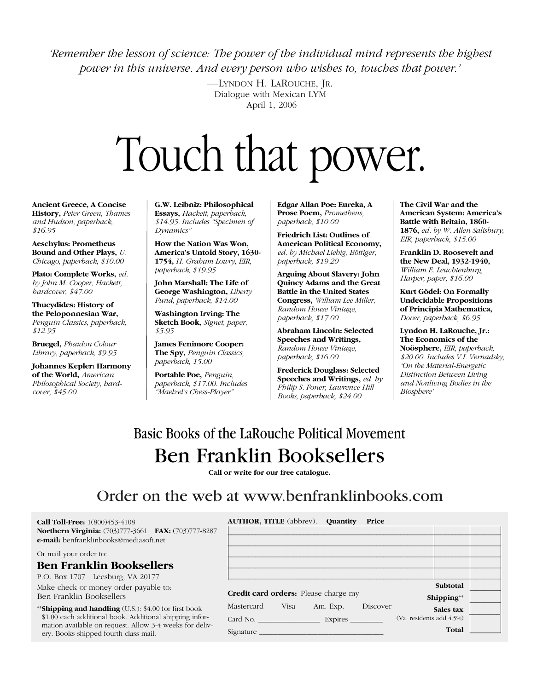*'Remember the lesson of science: The power of the individual mind represents the highest power in this universe. And every person who wishes to, touches that power.'*

> —LYNDON H. LAROUCHE, JR. Dialogue with Mexican LYM April 1, 2006

# Touch that power.

**Ancient Greece, A Concise History,** *Peter Green, Thames and Hudson, paperback, \$16.95*

**Aeschylus: Prometheus Bound and Other Plays,** *U. Chicago, paperback, \$10.00*

**Plato: Complete Works,** *ed. by John M. Cooper, Hackett, hardcover, \$47.00*

**Thucydides: History of the Peloponnesian War,** *Penguin Classics, paperback, \$12.95*

**Bruegel,** *Phaidon Colour Library, paperback, \$9.95*

**Johannes Kepler: Harmony of the World,** *American Philosophical Society, hardcover, \$45.00*

**G.W. Leibniz: Philosophical Essays,** *Hackett, paperback, \$14.95. Includes "Specimen of Dynamics"* 

**How the Nation Was Won, America's Untold Story, 1630- 1754,** *H. Graham Lowry, EIR, paperback, \$19.95* 

**John Marshall: The Life of George Washington,** *Liberty Fund, paperback, \$14.00*

**Washington Irving: The Sketch Book,** *Signet, paper, \$5.95*

**James Fenimore Cooper: The Spy,** *Penguin Classics, paperback, 15.00*

**Portable Poe,** *Penguin, paperback, \$17.00. Includes "Maelzel's Chess-Player"*

**Edgar Allan Poe: Eureka, A Prose Poem,** *Prometheus, paperback, \$10.00*

**Friedrich List: Outlines of American Political Economy,** *ed. by Michael Liebig, Böttiger, paperback, \$19.20*

**Arguing About Slavery: John Quincy Adams and the Great Battle in the United States Congress,** *William Lee Miller, Random House Vintage, paperback, \$17.00*

**Abraham Lincoln: Selected Speeches and Writings,** *Random House Vintage, paperback, \$16.00*

**Frederick Douglass: Selected Speeches and Writings,** *ed. by Philip S. Foner, Lawrence Hill Books, paperback, \$24.00*

**The Civil War and the American System: America's Battle with Britain, 1860- 1876,** *ed. by W. Allen Salisbury, EIR, paperback, \$15.00*

**Franklin D. Roosevelt and the New Deal, 1932-1940,** *William E. Leuchtenburg, Harper, paper, \$16.00*

**Kurt Gödel: On Formally Undecidable Propositions of Principia Mathematica,** *Dover, paperback, \$6.95*

**Lyndon H. LaRouche, Jr.: The Economics of the Noösphere,** *EIR, paperback, \$20.00. Includes V.I. Vernadsky, 'On the Material-Energetic Distinction Between Living and Nonliving Bodies in the Biosphere'*

## Basic Books of the LaRouche Political Movement Ben Franklin Booksellers

**Call or write for our free catalogue.** 

### Order on the web at www.benfranklinbooks.com

**AUTHOR, TITLE** (abbrev). **Quantity Price**

**Call Toll-Free:** 1(800)453-4108 **Northern Virginia:** (703)777-3661 **FAX:** (703)777-8287 **e-mail:** benfranklinbooks@mediasoft.net

Or mail your order to:

### **Ben Franklin Booksellers**

P.O. Box 1707 Leesburg, VA 20177

Make check or money order payable to: Ben Franklin Booksellers

\*\***Shipping and handling** (U.S.): \$4.00 for first book \$1.00 each additional book. Additional shipping information available on request. Allow 3-4 weeks for delivery. Books shipped fourth class mail.

|                                             | Subtotal                 |  |
|---------------------------------------------|--------------------------|--|
| <b>Credit card orders:</b> Please charge my | Shipping**               |  |
| Mastercard<br>Visa<br>Discover<br>Am. Exp.  | Sales tax                |  |
|                                             | (Va. residents add 4.5%) |  |
| Signature                                   | Total                    |  |